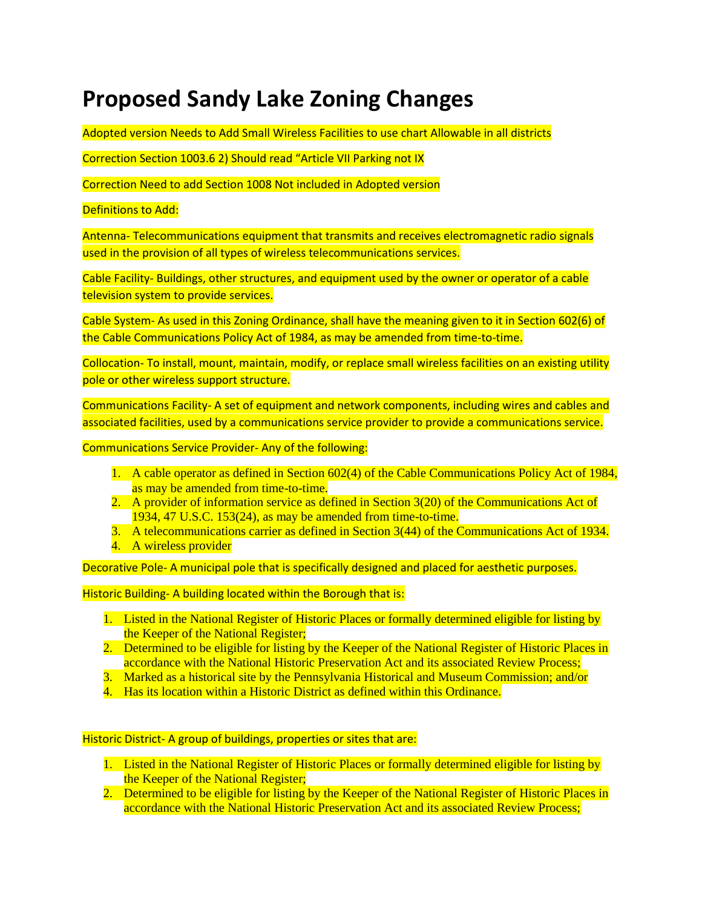# **Proposed Sandy Lake Zoning Changes**

Adopted version Needs to Add Small Wireless Facilities to use chart Allowable in all districts

Correction Section 1003.6 2) Should read "Article VII Parking not IX

Correction Need to add Section 1008 Not included in Adopted version

#### Definitions to Add:

Antenna- Telecommunications equipment that transmits and receives electromagnetic radio signals used in the provision of all types of wireless telecommunications services.

Cable Facility- Buildings, other structures, and equipment used by the owner or operator of a cable television system to provide services.

Cable System- As used in this Zoning Ordinance, shall have the meaning given to it in Section 602(6) of the Cable Communications Policy Act of 1984, as may be amended from time-to-time.

Collocation- To install, mount, maintain, modify, or replace small wireless facilities on an existing utility pole or other wireless support structure.

Communications Facility- A set of equipment and network components, including wires and cables and associated facilities, used by a communications service provider to provide a communications service.

Communications Service Provider- Any of the following:

- 1. A cable operator as defined in Section 602(4) of the Cable Communications Policy Act of 1984, as may be amended from time-to-time.
- 2. A provider of information service as defined in Section 3(20) of the Communications Act of 1934, 47 U.S.C. 153(24), as may be amended from time-to-time.
- 3. A telecommunications carrier as defined in Section 3(44) of the Communications Act of 1934.
- 4. A wireless provider

Decorative Pole- A municipal pole that is specifically designed and placed for aesthetic purposes.

Historic Building- A building located within the Borough that is:

- 1. Listed in the National Register of Historic Places or formally determined eligible for listing by the Keeper of the National Register;
- 2. Determined to be eligible for listing by the Keeper of the National Register of Historic Places in accordance with the National Historic Preservation Act and its associated Review Process;
- 3. Marked as a historical site by the Pennsylvania Historical and Museum Commission; and/or
- 4. Has its location within a Historic District as defined within this Ordinance.

#### Historic District- A group of buildings, properties or sites that are:

- 1. Listed in the National Register of Historic Places or formally determined eligible for listing by the Keeper of the National Register;
- 2. Determined to be eligible for listing by the Keeper of the National Register of Historic Places in accordance with the National Historic Preservation Act and its associated Review Process;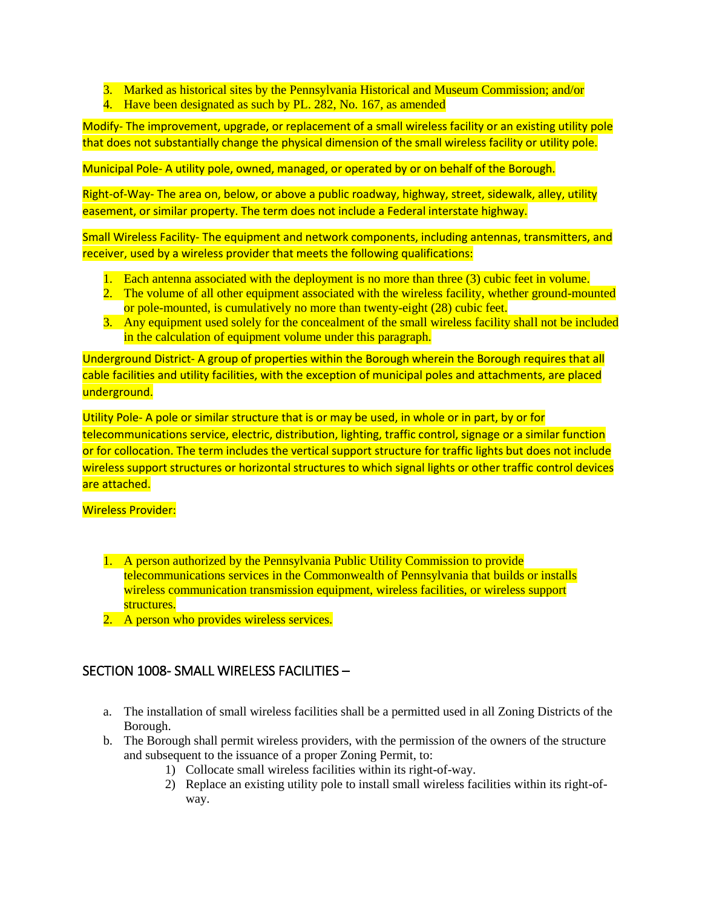- 3. Marked as historical sites by the Pennsylvania Historical and Museum Commission; and/or
- 4. Have been designated as such by PL. 282, No. 167, as amended

Modify- The improvement, upgrade, or replacement of a small wireless facility or an existing utility pole that does not substantially change the physical dimension of the small wireless facility or utility pole.

Municipal Pole- A utility pole, owned, managed, or operated by or on behalf of the Borough.

Right-of-Way- The area on, below, or above a public roadway, highway, street, sidewalk, alley, utility easement, or similar property. The term does not include a Federal interstate highway.

Small Wireless Facility- The equipment and network components, including antennas, transmitters, and receiver, used by a wireless provider that meets the following qualifications:

- 1. Each antenna associated with the deployment is no more than three (3) cubic feet in volume.
- 2. The volume of all other equipment associated with the wireless facility, whether ground-mounted or pole-mounted, is cumulatively no more than twenty-eight (28) cubic feet.
- 3. Any equipment used solely for the concealment of the small wireless facility shall not be included in the calculation of equipment volume under this paragraph.

Underground District- A group of properties within the Borough wherein the Borough requires that all cable facilities and utility facilities, with the exception of municipal poles and attachments, are placed underground.

Utility Pole- A pole or similar structure that is or may be used, in whole or in part, by or for telecommunications service, electric, distribution, lighting, traffic control, signage or a similar function or for collocation. The term includes the vertical support structure for traffic lights but does not include wireless support structures or horizontal structures to which signal lights or other traffic control devices are attached.

### Wireless Provider:

- 1. A person authorized by the Pennsylvania Public Utility Commission to provide telecommunications services in the Commonwealth of Pennsylvania that builds or installs wireless communication transmission equipment, wireless facilities, or wireless support structures.
- 2. A person who provides wireless services.

## SECTION 1008- SMALL WIRELESS FACILITIES –

- a. The installation of small wireless facilities shall be a permitted used in all Zoning Districts of the Borough.
- b. The Borough shall permit wireless providers, with the permission of the owners of the structure and subsequent to the issuance of a proper Zoning Permit, to:
	- 1) Collocate small wireless facilities within its right-of-way.
	- 2) Replace an existing utility pole to install small wireless facilities within its right-ofway.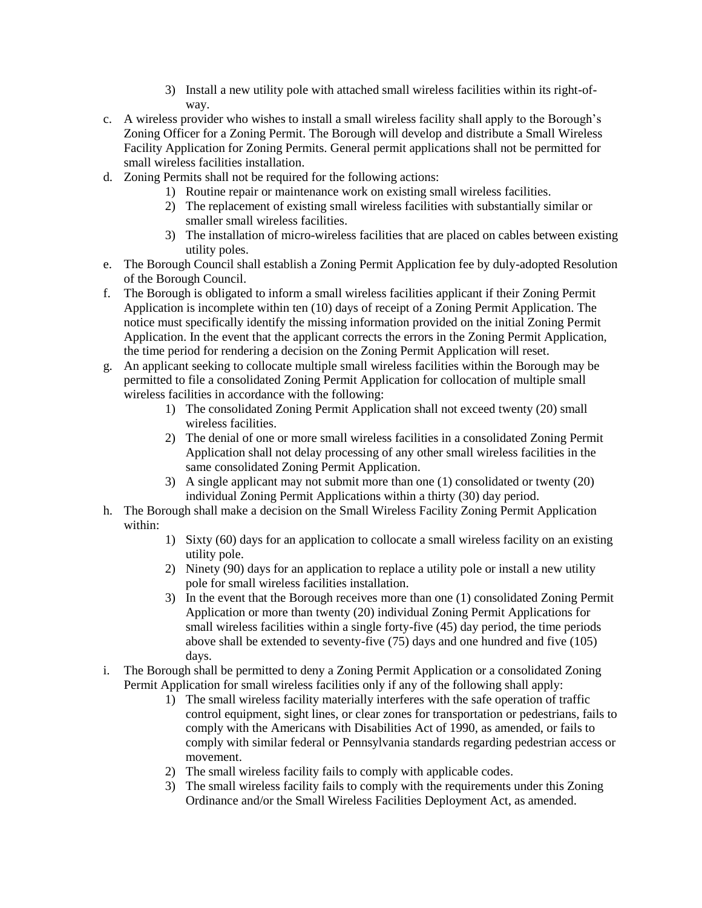- 3) Install a new utility pole with attached small wireless facilities within its right-ofway.
- c. A wireless provider who wishes to install a small wireless facility shall apply to the Borough's Zoning Officer for a Zoning Permit. The Borough will develop and distribute a Small Wireless Facility Application for Zoning Permits. General permit applications shall not be permitted for small wireless facilities installation.
- d. Zoning Permits shall not be required for the following actions:
	- 1) Routine repair or maintenance work on existing small wireless facilities.
	- 2) The replacement of existing small wireless facilities with substantially similar or smaller small wireless facilities.
	- 3) The installation of micro-wireless facilities that are placed on cables between existing utility poles.
- e. The Borough Council shall establish a Zoning Permit Application fee by duly-adopted Resolution of the Borough Council.
- f. The Borough is obligated to inform a small wireless facilities applicant if their Zoning Permit Application is incomplete within ten (10) days of receipt of a Zoning Permit Application. The notice must specifically identify the missing information provided on the initial Zoning Permit Application. In the event that the applicant corrects the errors in the Zoning Permit Application, the time period for rendering a decision on the Zoning Permit Application will reset.
- g. An applicant seeking to collocate multiple small wireless facilities within the Borough may be permitted to file a consolidated Zoning Permit Application for collocation of multiple small wireless facilities in accordance with the following:
	- 1) The consolidated Zoning Permit Application shall not exceed twenty (20) small wireless facilities.
	- 2) The denial of one or more small wireless facilities in a consolidated Zoning Permit Application shall not delay processing of any other small wireless facilities in the same consolidated Zoning Permit Application.
	- 3) A single applicant may not submit more than one (1) consolidated or twenty (20) individual Zoning Permit Applications within a thirty (30) day period.
- h. The Borough shall make a decision on the Small Wireless Facility Zoning Permit Application within:
	- 1) Sixty (60) days for an application to collocate a small wireless facility on an existing utility pole.
	- 2) Ninety (90) days for an application to replace a utility pole or install a new utility pole for small wireless facilities installation.
	- 3) In the event that the Borough receives more than one (1) consolidated Zoning Permit Application or more than twenty (20) individual Zoning Permit Applications for small wireless facilities within a single forty-five (45) day period, the time periods above shall be extended to seventy-five (75) days and one hundred and five (105) days.
- i. The Borough shall be permitted to deny a Zoning Permit Application or a consolidated Zoning Permit Application for small wireless facilities only if any of the following shall apply:
	- 1) The small wireless facility materially interferes with the safe operation of traffic control equipment, sight lines, or clear zones for transportation or pedestrians, fails to comply with the Americans with Disabilities Act of 1990, as amended, or fails to comply with similar federal or Pennsylvania standards regarding pedestrian access or movement.
	- 2) The small wireless facility fails to comply with applicable codes.
	- 3) The small wireless facility fails to comply with the requirements under this Zoning Ordinance and/or the Small Wireless Facilities Deployment Act, as amended.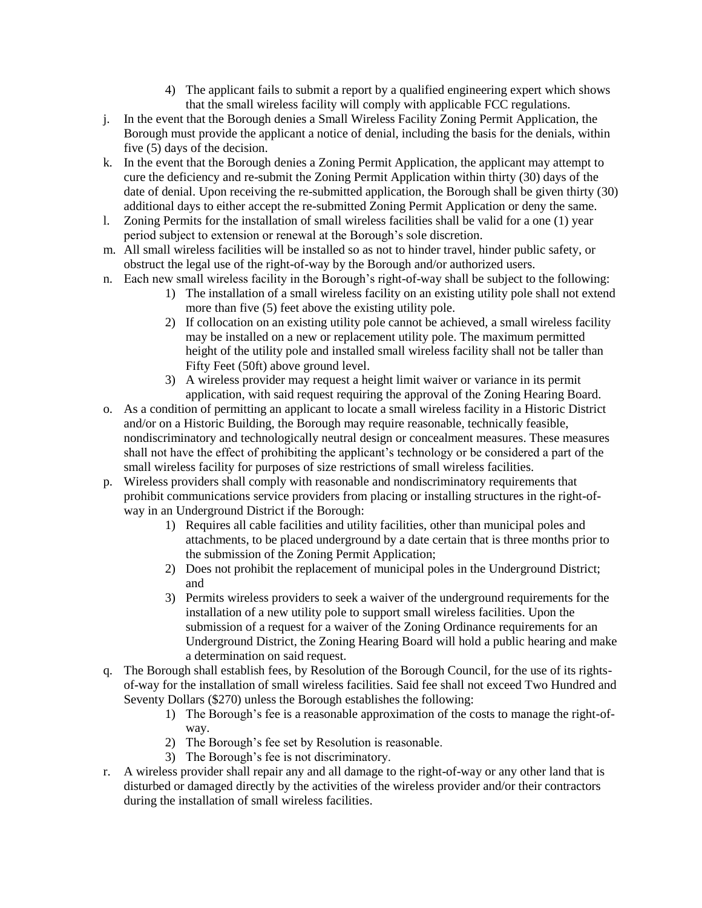- 4) The applicant fails to submit a report by a qualified engineering expert which shows that the small wireless facility will comply with applicable FCC regulations.
- j. In the event that the Borough denies a Small Wireless Facility Zoning Permit Application, the Borough must provide the applicant a notice of denial, including the basis for the denials, within five (5) days of the decision.
- k. In the event that the Borough denies a Zoning Permit Application, the applicant may attempt to cure the deficiency and re-submit the Zoning Permit Application within thirty (30) days of the date of denial. Upon receiving the re-submitted application, the Borough shall be given thirty (30) additional days to either accept the re-submitted Zoning Permit Application or deny the same.
- l. Zoning Permits for the installation of small wireless facilities shall be valid for a one (1) year period subject to extension or renewal at the Borough's sole discretion.
- m. All small wireless facilities will be installed so as not to hinder travel, hinder public safety, or obstruct the legal use of the right-of-way by the Borough and/or authorized users.
- n. Each new small wireless facility in the Borough's right-of-way shall be subject to the following:
	- 1) The installation of a small wireless facility on an existing utility pole shall not extend more than five (5) feet above the existing utility pole.
	- 2) If collocation on an existing utility pole cannot be achieved, a small wireless facility may be installed on a new or replacement utility pole. The maximum permitted height of the utility pole and installed small wireless facility shall not be taller than Fifty Feet (50ft) above ground level.
	- 3) A wireless provider may request a height limit waiver or variance in its permit application, with said request requiring the approval of the Zoning Hearing Board.
- o. As a condition of permitting an applicant to locate a small wireless facility in a Historic District and/or on a Historic Building, the Borough may require reasonable, technically feasible, nondiscriminatory and technologically neutral design or concealment measures. These measures shall not have the effect of prohibiting the applicant's technology or be considered a part of the small wireless facility for purposes of size restrictions of small wireless facilities.
- p. Wireless providers shall comply with reasonable and nondiscriminatory requirements that prohibit communications service providers from placing or installing structures in the right-ofway in an Underground District if the Borough:
	- 1) Requires all cable facilities and utility facilities, other than municipal poles and attachments, to be placed underground by a date certain that is three months prior to the submission of the Zoning Permit Application;
	- 2) Does not prohibit the replacement of municipal poles in the Underground District; and
	- 3) Permits wireless providers to seek a waiver of the underground requirements for the installation of a new utility pole to support small wireless facilities. Upon the submission of a request for a waiver of the Zoning Ordinance requirements for an Underground District, the Zoning Hearing Board will hold a public hearing and make a determination on said request.
- q. The Borough shall establish fees, by Resolution of the Borough Council, for the use of its rightsof-way for the installation of small wireless facilities. Said fee shall not exceed Two Hundred and Seventy Dollars (\$270) unless the Borough establishes the following:
	- 1) The Borough's fee is a reasonable approximation of the costs to manage the right-ofway.
	- 2) The Borough's fee set by Resolution is reasonable.
	- 3) The Borough's fee is not discriminatory.
- r. A wireless provider shall repair any and all damage to the right-of-way or any other land that is disturbed or damaged directly by the activities of the wireless provider and/or their contractors during the installation of small wireless facilities.